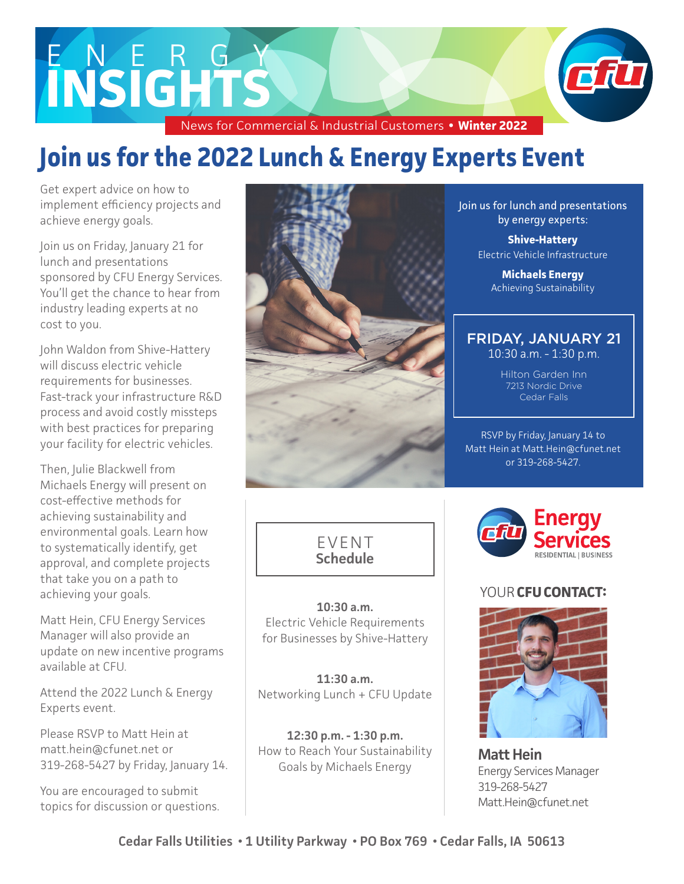# E NERGY **INSIGHTS**

News for Commercial & Industrial Customers **• Winter 2022**

# **Join us for the 2022 Lunch & Energy Experts Event**

Get expert advice on how to implement efficiency projects and achieve energy goals.

Join us on Friday, January 21 for lunch and presentations sponsored by CFU Energy Services. You'll get the chance to hear from industry leading experts at no cost to you.

John Waldon from Shive-Hattery will discuss electric vehicle requirements for businesses. Fast-track your infrastructure R&D process and avoid costly missteps with best practices for preparing your facility for electric vehicles.

Then, Julie Blackwell from Michaels Energy will present on cost-effective methods for achieving sustainability and environmental goals. Learn how to systematically identify, get approval, and complete projects that take you on a path to achieving your goals.

Matt Hein, CFU Energy Services Manager will also provide an update on new incentive programs available at CFU.

Attend the 2022 Lunch & Energy Experts event.

Please RSVP to Matt Hein at matt.hein@cfunet.net or 319-268-5427 by Friday, January 14.

You are encouraged to submit topics for discussion or questions.





**10:30 a.m.**  Electric Vehicle Requirements for Businesses by Shive-Hattery

**11:30 a.m.** Networking Lunch + CFU Update

**12:30 p.m. - 1:30 p.m.** How to Reach Your Sustainability Goals by Michaels Energy

Join us for lunch and presentations by energy experts:

> **Shive-Hattery** Electric Vehicle Infrastructure

> > **Michaels Energy** Achieving Sustainability

### FRIDAY, JANUARY 21

10:30 a.m. - 1:30 p.m.

Hilton Garden Inn 7213 Nordic Drive Cedar Falls

RSVP by Friday, January 14 to Matt Hein at Matt.Hein@cfunet.net or 319-268-5427.



#### YOUR **CFU CONTACT:**



**Matt Hein**  Energy Services Manager 319-268-5427 Matt.Hein@cfunet.net

**Cedar Falls Utilities • 1 Utility Parkway • PO Box 769 • Cedar Falls, IA 50613**